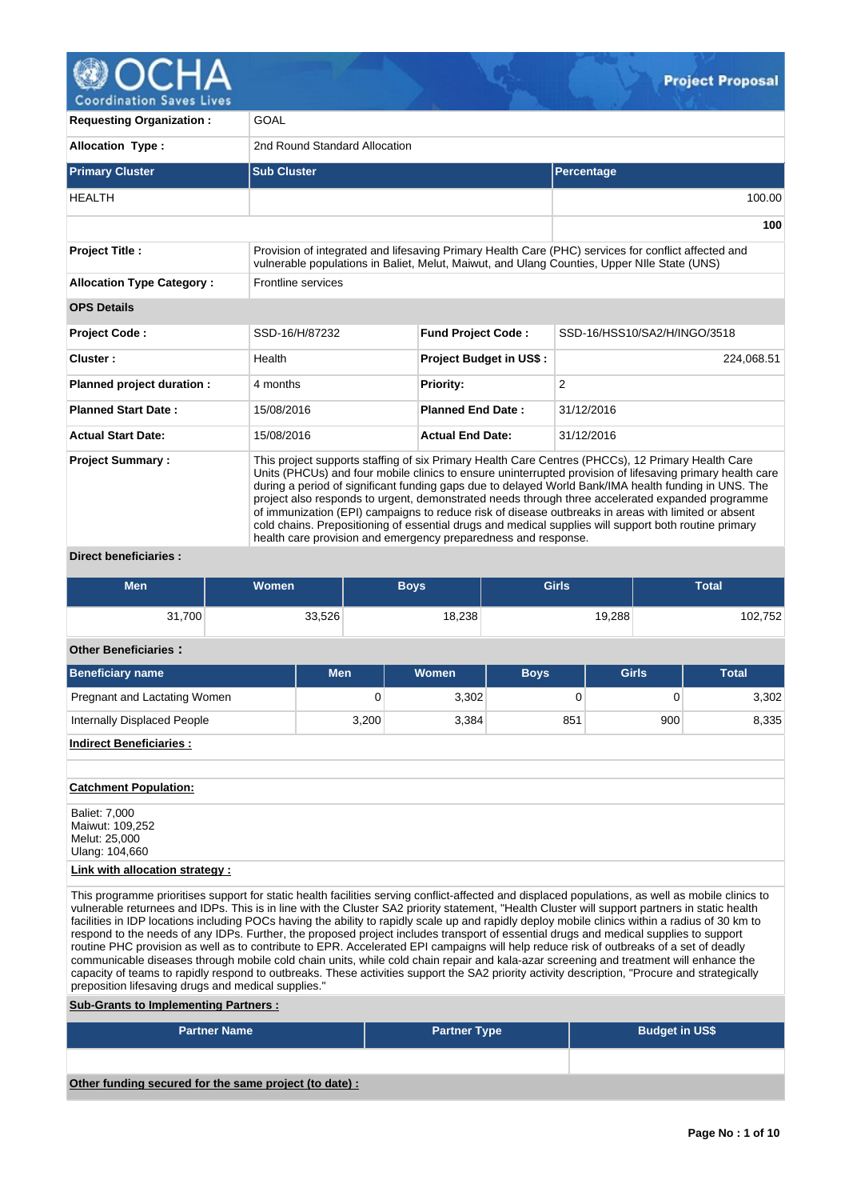

| <b>Requesting Organization:</b>  | <b>GOAL</b>                                                                                                                                                                                                                                                                                                                                                                                                                                                                                                                                                                                                                                                                                                  |                                |                                                                                                                                                                                                    |  |  |  |  |  |  |
|----------------------------------|--------------------------------------------------------------------------------------------------------------------------------------------------------------------------------------------------------------------------------------------------------------------------------------------------------------------------------------------------------------------------------------------------------------------------------------------------------------------------------------------------------------------------------------------------------------------------------------------------------------------------------------------------------------------------------------------------------------|--------------------------------|----------------------------------------------------------------------------------------------------------------------------------------------------------------------------------------------------|--|--|--|--|--|--|
| <b>Allocation Type:</b>          | 2nd Round Standard Allocation                                                                                                                                                                                                                                                                                                                                                                                                                                                                                                                                                                                                                                                                                |                                |                                                                                                                                                                                                    |  |  |  |  |  |  |
| <b>Primary Cluster</b>           | <b>Sub Cluster</b>                                                                                                                                                                                                                                                                                                                                                                                                                                                                                                                                                                                                                                                                                           | Percentage                     |                                                                                                                                                                                                    |  |  |  |  |  |  |
| <b>HEALTH</b>                    |                                                                                                                                                                                                                                                                                                                                                                                                                                                                                                                                                                                                                                                                                                              |                                | 100.00                                                                                                                                                                                             |  |  |  |  |  |  |
|                                  |                                                                                                                                                                                                                                                                                                                                                                                                                                                                                                                                                                                                                                                                                                              |                                | 100                                                                                                                                                                                                |  |  |  |  |  |  |
| <b>Project Title:</b>            |                                                                                                                                                                                                                                                                                                                                                                                                                                                                                                                                                                                                                                                                                                              |                                | Provision of integrated and lifesaving Primary Health Care (PHC) services for conflict affected and<br>vulnerable populations in Baliet, Melut, Maiwut, and Ulang Counties, Upper NIIe State (UNS) |  |  |  |  |  |  |
| <b>Allocation Type Category:</b> | Frontline services                                                                                                                                                                                                                                                                                                                                                                                                                                                                                                                                                                                                                                                                                           |                                |                                                                                                                                                                                                    |  |  |  |  |  |  |
| <b>OPS Details</b>               |                                                                                                                                                                                                                                                                                                                                                                                                                                                                                                                                                                                                                                                                                                              |                                |                                                                                                                                                                                                    |  |  |  |  |  |  |
| <b>Project Code:</b>             | SSD-16/H/87232                                                                                                                                                                                                                                                                                                                                                                                                                                                                                                                                                                                                                                                                                               | <b>Fund Project Code:</b>      | SSD-16/HSS10/SA2/H/INGO/3518                                                                                                                                                                       |  |  |  |  |  |  |
| Cluster:                         | Health                                                                                                                                                                                                                                                                                                                                                                                                                                                                                                                                                                                                                                                                                                       | <b>Project Budget in US\$:</b> | 224,068.51                                                                                                                                                                                         |  |  |  |  |  |  |
| Planned project duration :       | 4 months                                                                                                                                                                                                                                                                                                                                                                                                                                                                                                                                                                                                                                                                                                     | <b>Priority:</b>               | 2                                                                                                                                                                                                  |  |  |  |  |  |  |
| <b>Planned Start Date:</b>       | 15/08/2016                                                                                                                                                                                                                                                                                                                                                                                                                                                                                                                                                                                                                                                                                                   | <b>Planned End Date:</b>       | 31/12/2016                                                                                                                                                                                         |  |  |  |  |  |  |
| <b>Actual Start Date:</b>        | 15/08/2016                                                                                                                                                                                                                                                                                                                                                                                                                                                                                                                                                                                                                                                                                                   | <b>Actual End Date:</b>        | 31/12/2016                                                                                                                                                                                         |  |  |  |  |  |  |
| <b>Project Summary:</b>          | This project supports staffing of six Primary Health Care Centres (PHCCs), 12 Primary Health Care<br>Units (PHCUs) and four mobile clinics to ensure uninterrupted provision of lifesaving primary health care<br>during a period of significant funding gaps due to delayed World Bank/IMA health funding in UNS. The<br>project also responds to urgent, demonstrated needs through three accelerated expanded programme<br>of immunization (EPI) campaigns to reduce risk of disease outbreaks in areas with limited or absent<br>cold chains. Prepositioning of essential drugs and medical supplies will support both routine primary<br>health care provision and emergency preparedness and response. |                                |                                                                                                                                                                                                    |  |  |  |  |  |  |

# **Direct beneficiaries :**

| <b>Men</b>                                                                                                                                                                                                                                                                                                                                                                                                                                                                                                                                                                                                                                                                                                                                                                                                                                                                                                                                                                                                                                                                                 | <b>Women</b> |             | <b>Boys</b> | Girls       |              | <b>Total</b> |  |  |
|--------------------------------------------------------------------------------------------------------------------------------------------------------------------------------------------------------------------------------------------------------------------------------------------------------------------------------------------------------------------------------------------------------------------------------------------------------------------------------------------------------------------------------------------------------------------------------------------------------------------------------------------------------------------------------------------------------------------------------------------------------------------------------------------------------------------------------------------------------------------------------------------------------------------------------------------------------------------------------------------------------------------------------------------------------------------------------------------|--------------|-------------|-------------|-------------|--------------|--------------|--|--|
| 31,700                                                                                                                                                                                                                                                                                                                                                                                                                                                                                                                                                                                                                                                                                                                                                                                                                                                                                                                                                                                                                                                                                     |              | 33,526      | 18,238      |             | 19,288       | 102,752      |  |  |
| <b>Other Beneficiaries:</b>                                                                                                                                                                                                                                                                                                                                                                                                                                                                                                                                                                                                                                                                                                                                                                                                                                                                                                                                                                                                                                                                |              |             |             |             |              |              |  |  |
| <b>Beneficiary name</b>                                                                                                                                                                                                                                                                                                                                                                                                                                                                                                                                                                                                                                                                                                                                                                                                                                                                                                                                                                                                                                                                    |              | <b>Men</b>  | Women       | <b>Boys</b> | <b>Girls</b> | <b>Total</b> |  |  |
| Pregnant and Lactating Women                                                                                                                                                                                                                                                                                                                                                                                                                                                                                                                                                                                                                                                                                                                                                                                                                                                                                                                                                                                                                                                               |              | $\mathbf 0$ | 3,302       | $\mathbf 0$ | $\Omega$     | 3,302        |  |  |
| Internally Displaced People                                                                                                                                                                                                                                                                                                                                                                                                                                                                                                                                                                                                                                                                                                                                                                                                                                                                                                                                                                                                                                                                |              | 3,200       | 3,384       | 851         | 900          | 8.335        |  |  |
| <b>Indirect Beneficiaries:</b>                                                                                                                                                                                                                                                                                                                                                                                                                                                                                                                                                                                                                                                                                                                                                                                                                                                                                                                                                                                                                                                             |              |             |             |             |              |              |  |  |
|                                                                                                                                                                                                                                                                                                                                                                                                                                                                                                                                                                                                                                                                                                                                                                                                                                                                                                                                                                                                                                                                                            |              |             |             |             |              |              |  |  |
| <b>Catchment Population:</b>                                                                                                                                                                                                                                                                                                                                                                                                                                                                                                                                                                                                                                                                                                                                                                                                                                                                                                                                                                                                                                                               |              |             |             |             |              |              |  |  |
| Baliet: 7,000<br>Maiwut: 109.252<br>Melut: 25.000<br>Ulang: 104,660                                                                                                                                                                                                                                                                                                                                                                                                                                                                                                                                                                                                                                                                                                                                                                                                                                                                                                                                                                                                                        |              |             |             |             |              |              |  |  |
| Link with allocation strategy :                                                                                                                                                                                                                                                                                                                                                                                                                                                                                                                                                                                                                                                                                                                                                                                                                                                                                                                                                                                                                                                            |              |             |             |             |              |              |  |  |
| This programme prioritises support for static health facilities serving conflict-affected and displaced populations, as well as mobile clinics to<br>vulnerable returnees and IDPs. This is in line with the Cluster SA2 priority statement, "Health Cluster will support partners in static health<br>facilities in IDP locations including POCs having the ability to rapidly scale up and rapidly deploy mobile clinics within a radius of 30 km to<br>respond to the needs of any IDPs. Further, the proposed project includes transport of essential drugs and medical supplies to support<br>routine PHC provision as well as to contribute to EPR. Accelerated EPI campaigns will help reduce risk of outbreaks of a set of deadly<br>communicable diseases through mobile cold chain units, while cold chain repair and kala-azar screening and treatment will enhance the<br>capacity of teams to rapidly respond to outbreaks. These activities support the SA2 priority activity description, "Procure and strategically<br>preposition lifesaving drugs and medical supplies." |              |             |             |             |              |              |  |  |
| <b>Sub-Grants to Implementing Partners:</b>                                                                                                                                                                                                                                                                                                                                                                                                                                                                                                                                                                                                                                                                                                                                                                                                                                                                                                                                                                                                                                                |              |             |             |             |              |              |  |  |

| <b>Partner Name</b>                                   | <b>Partner Type</b> | <b>Budget in US\$</b> |
|-------------------------------------------------------|---------------------|-----------------------|
|                                                       |                     |                       |
| Other funding secured for the same project (to date): |                     |                       |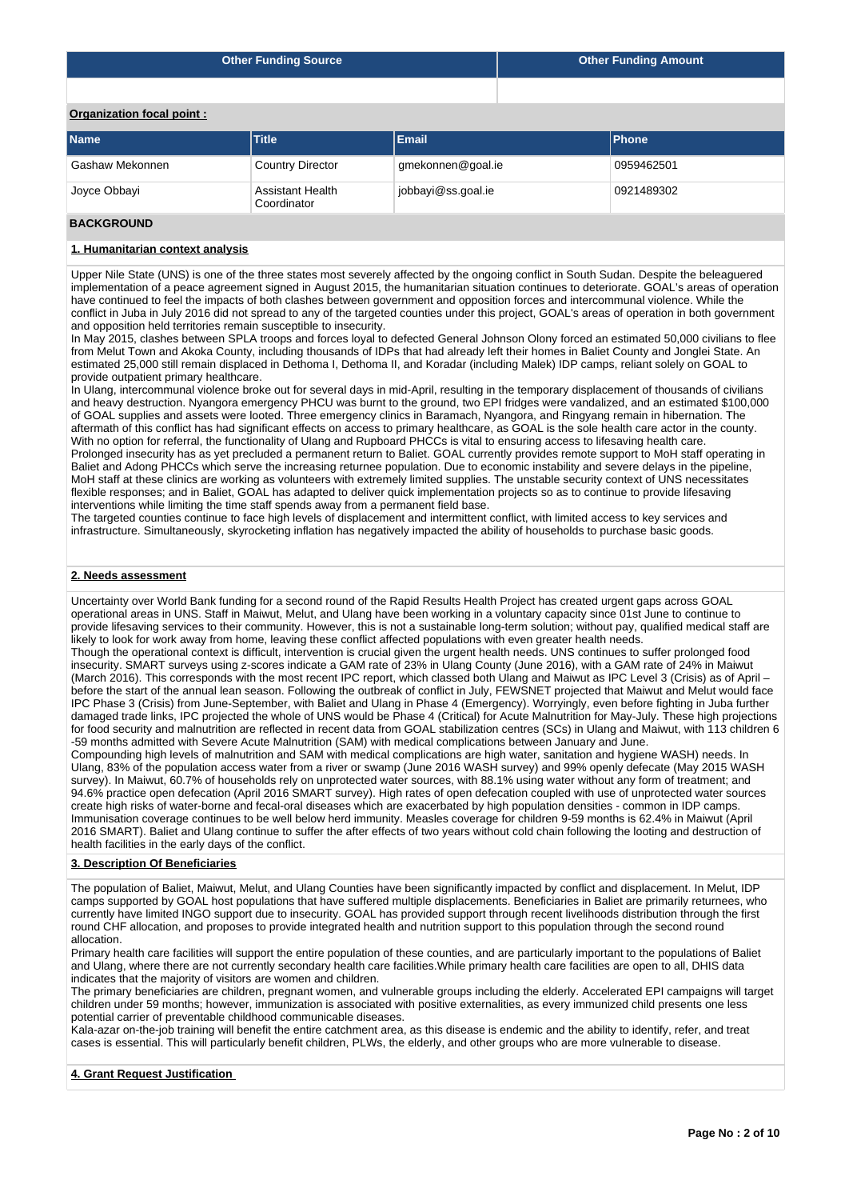| <b>Other Funding Source</b> | <b>Other Funding Amount</b> |
|-----------------------------|-----------------------------|
|                             |                             |

**Organization focal point :**

| <b>Name</b>       | <b>Title</b>                           | <b>Email</b>       | <b>Phone</b> |
|-------------------|----------------------------------------|--------------------|--------------|
| Gashaw Mekonnen   | <b>Country Director</b>                | gmekonnen@goal.ie  | 0959462501   |
| Joyce Obbayi      | <b>Assistant Health</b><br>Coordinator | jobbayi@ss.goal.ie | 0921489302   |
| <b>BACKGROUND</b> |                                        |                    |              |

## **1. Humanitarian context analysis**

Upper Nile State (UNS) is one of the three states most severely affected by the ongoing conflict in South Sudan. Despite the beleaguered implementation of a peace agreement signed in August 2015, the humanitarian situation continues to deteriorate. GOAL's areas of operation have continued to feel the impacts of both clashes between government and opposition forces and intercommunal violence. While the conflict in Juba in July 2016 did not spread to any of the targeted counties under this project, GOAL's areas of operation in both government and opposition held territories remain susceptible to insecurity.

In May 2015, clashes between SPLA troops and forces loyal to defected General Johnson Olony forced an estimated 50,000 civilians to flee from Melut Town and Akoka County, including thousands of IDPs that had already left their homes in Baliet County and Jonglei State. An estimated 25,000 still remain displaced in Dethoma I, Dethoma II, and Koradar (including Malek) IDP camps, reliant solely on GOAL to provide outpatient primary healthcare.

In Ulang, intercommunal violence broke out for several days in mid-April, resulting in the temporary displacement of thousands of civilians and heavy destruction. Nyangora emergency PHCU was burnt to the ground, two EPI fridges were vandalized, and an estimated \$100,000 of GOAL supplies and assets were looted. Three emergency clinics in Baramach, Nyangora, and Ringyang remain in hibernation. The aftermath of this conflict has had significant effects on access to primary healthcare, as GOAL is the sole health care actor in the county. With no option for referral, the functionality of Ulang and Rupboard PHCCs is vital to ensuring access to lifesaving health care. Prolonged insecurity has as yet precluded a permanent return to Baliet. GOAL currently provides remote support to MoH staff operating in Baliet and Adong PHCCs which serve the increasing returnee population. Due to economic instability and severe delays in the pipeline, MoH staff at these clinics are working as volunteers with extremely limited supplies. The unstable security context of UNS necessitates flexible responses; and in Baliet, GOAL has adapted to deliver quick implementation projects so as to continue to provide lifesaving interventions while limiting the time staff spends away from a permanent field base.

The targeted counties continue to face high levels of displacement and intermittent conflict, with limited access to key services and infrastructure. Simultaneously, skyrocketing inflation has negatively impacted the ability of households to purchase basic goods.

### **2. Needs assessment**

Uncertainty over World Bank funding for a second round of the Rapid Results Health Project has created urgent gaps across GOAL operational areas in UNS. Staff in Maiwut, Melut, and Ulang have been working in a voluntary capacity since 01st June to continue to provide lifesaving services to their community. However, this is not a sustainable long-term solution; without pay, qualified medical staff are likely to look for work away from home, leaving these conflict affected populations with even greater health needs. Though the operational context is difficult, intervention is crucial given the urgent health needs. UNS continues to suffer prolonged food insecurity. SMART surveys using z-scores indicate a GAM rate of 23% in Ulang County (June 2016), with a GAM rate of 24% in Maiwut (March 2016). This corresponds with the most recent IPC report, which classed both Ulang and Maiwut as IPC Level 3 (Crisis) as of April – before the start of the annual lean season. Following the outbreak of conflict in July, FEWSNET projected that Maiwut and Melut would face

IPC Phase 3 (Crisis) from June-September, with Baliet and Ulang in Phase 4 (Emergency). Worryingly, even before fighting in Juba further damaged trade links, IPC projected the whole of UNS would be Phase 4 (Critical) for Acute Malnutrition for May-July. These high projections for food security and malnutrition are reflected in recent data from GOAL stabilization centres (SCs) in Ulang and Maiwut, with 113 children 6 -59 months admitted with Severe Acute Malnutrition (SAM) with medical complications between January and June.

Compounding high levels of malnutrition and SAM with medical complications are high water, sanitation and hygiene WASH) needs. In Ulang, 83% of the population access water from a river or swamp (June 2016 WASH survey) and 99% openly defecate (May 2015 WASH survey). In Maiwut, 60.7% of households rely on unprotected water sources, with 88.1% using water without any form of treatment; and 94.6% practice open defecation (April 2016 SMART survey). High rates of open defecation coupled with use of unprotected water sources create high risks of water-borne and fecal-oral diseases which are exacerbated by high population densities - common in IDP camps. Immunisation coverage continues to be well below herd immunity. Measles coverage for children 9-59 months is 62.4% in Maiwut (April 2016 SMART). Baliet and Ulang continue to suffer the after effects of two years without cold chain following the looting and destruction of health facilities in the early days of the conflict.

#### **3. Description Of Beneficiaries**

The population of Baliet, Maiwut, Melut, and Ulang Counties have been significantly impacted by conflict and displacement. In Melut, IDP camps supported by GOAL host populations that have suffered multiple displacements. Beneficiaries in Baliet are primarily returnees, who currently have limited INGO support due to insecurity. GOAL has provided support through recent livelihoods distribution through the first round CHF allocation, and proposes to provide integrated health and nutrition support to this population through the second round allocation.

Primary health care facilities will support the entire population of these counties, and are particularly important to the populations of Baliet and Ulang, where there are not currently secondary health care facilities.While primary health care facilities are open to all, DHIS data indicates that the majority of visitors are women and children.

The primary beneficiaries are children, pregnant women, and vulnerable groups including the elderly. Accelerated EPI campaigns will target children under 59 months; however, immunization is associated with positive externalities, as every immunized child presents one less potential carrier of preventable childhood communicable diseases.

Kala-azar on-the-job training will benefit the entire catchment area, as this disease is endemic and the ability to identify, refer, and treat cases is essential. This will particularly benefit children, PLWs, the elderly, and other groups who are more vulnerable to disease.

#### **4. Grant Request Justification**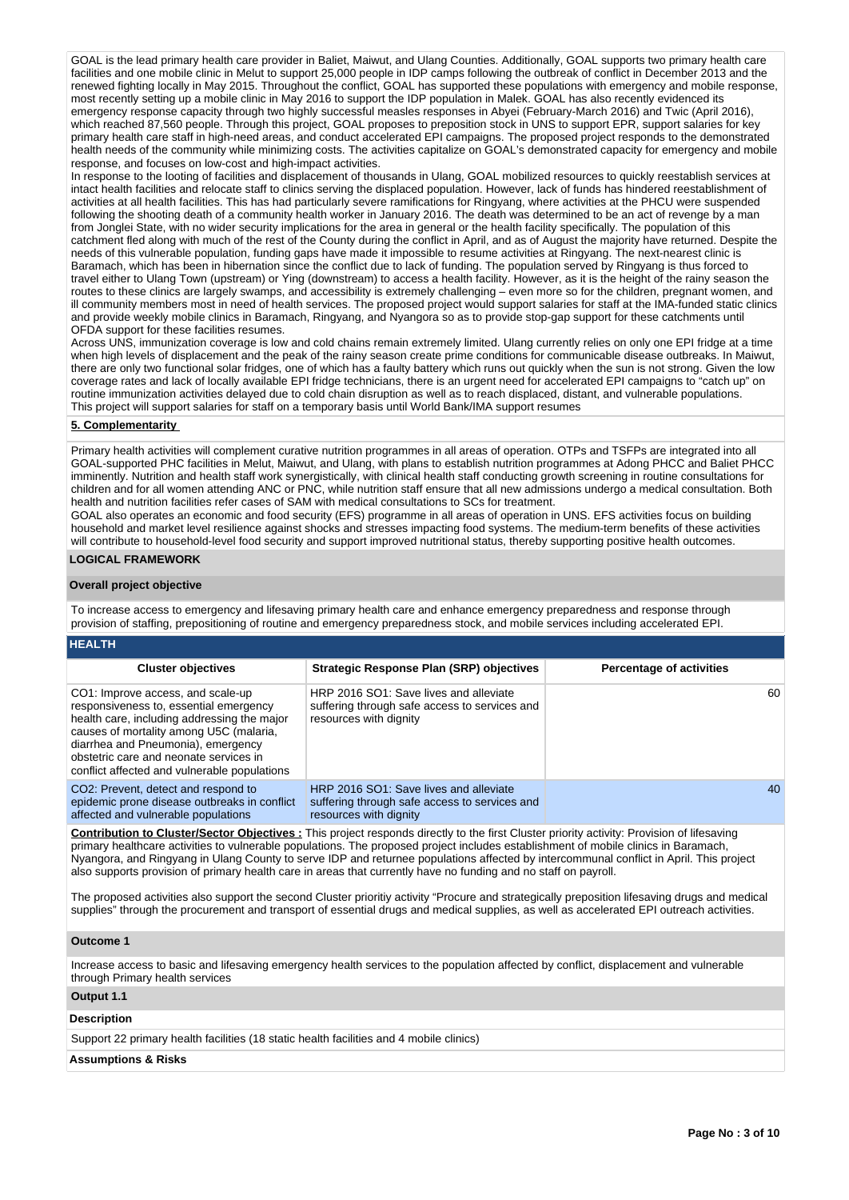GOAL is the lead primary health care provider in Baliet, Maiwut, and Ulang Counties. Additionally, GOAL supports two primary health care facilities and one mobile clinic in Melut to support 25,000 people in IDP camps following the outbreak of conflict in December 2013 and the renewed fighting locally in May 2015. Throughout the conflict, GOAL has supported these populations with emergency and mobile response, most recently setting up a mobile clinic in May 2016 to support the IDP population in Malek. GOAL has also recently evidenced its emergency response capacity through two highly successful measles responses in Abyei (February-March 2016) and Twic (April 2016), which reached 87,560 people. Through this project, GOAL proposes to preposition stock in UNS to support EPR, support salaries for key primary health care staff in high-need areas, and conduct accelerated EPI campaigns. The proposed project responds to the demonstrated health needs of the community while minimizing costs. The activities capitalize on GOAL's demonstrated capacity for emergency and mobile response, and focuses on low-cost and high-impact activities.

In response to the looting of facilities and displacement of thousands in Ulang, GOAL mobilized resources to quickly reestablish services at intact health facilities and relocate staff to clinics serving the displaced population. However, lack of funds has hindered reestablishment of activities at all health facilities. This has had particularly severe ramifications for Ringyang, where activities at the PHCU were suspended following the shooting death of a community health worker in January 2016. The death was determined to be an act of revenge by a man from Jonglei State, with no wider security implications for the area in general or the health facility specifically. The population of this catchment fled along with much of the rest of the County during the conflict in April, and as of August the majority have returned. Despite the needs of this vulnerable population, funding gaps have made it impossible to resume activities at Ringyang. The next-nearest clinic is Baramach, which has been in hibernation since the conflict due to lack of funding. The population served by Ringyang is thus forced to travel either to Ulang Town (upstream) or Ying (downstream) to access a health facility. However, as it is the height of the rainy season the routes to these clinics are largely swamps, and accessibility is extremely challenging – even more so for the children, pregnant women, and ill community members most in need of health services. The proposed project would support salaries for staff at the IMA-funded static clinics and provide weekly mobile clinics in Baramach, Ringyang, and Nyangora so as to provide stop-gap support for these catchments until OFDA support for these facilities resumes.

Across UNS, immunization coverage is low and cold chains remain extremely limited. Ulang currently relies on only one EPI fridge at a time when high levels of displacement and the peak of the rainy season create prime conditions for communicable disease outbreaks. In Maiwut, there are only two functional solar fridges, one of which has a faulty battery which runs out quickly when the sun is not strong. Given the low coverage rates and lack of locally available EPI fridge technicians, there is an urgent need for accelerated EPI campaigns to "catch up" on routine immunization activities delayed due to cold chain disruption as well as to reach displaced, distant, and vulnerable populations. This project will support salaries for staff on a temporary basis until World Bank/IMA support resumes

### **5. Complementarity**

Primary health activities will complement curative nutrition programmes in all areas of operation. OTPs and TSFPs are integrated into all GOAL-supported PHC facilities in Melut, Maiwut, and Ulang, with plans to establish nutrition programmes at Adong PHCC and Baliet PHCC imminently. Nutrition and health staff work synergistically, with clinical health staff conducting growth screening in routine consultations for children and for all women attending ANC or PNC, while nutrition staff ensure that all new admissions undergo a medical consultation. Both health and nutrition facilities refer cases of SAM with medical consultations to SCs for treatment.

GOAL also operates an economic and food security (EFS) programme in all areas of operation in UNS. EFS activities focus on building household and market level resilience against shocks and stresses impacting food systems. The medium-term benefits of these activities will contribute to household-level food security and support improved nutritional status, thereby supporting positive health outcomes.

# **LOGICAL FRAMEWORK**

### **Overall project objective**

**HEALTH**

To increase access to emergency and lifesaving primary health care and enhance emergency preparedness and response through provision of staffing, prepositioning of routine and emergency preparedness stock, and mobile services including accelerated EPI.

| .                                                                                                                                                                                                                                                                                                     |                                                                                                                   |                                 |
|-------------------------------------------------------------------------------------------------------------------------------------------------------------------------------------------------------------------------------------------------------------------------------------------------------|-------------------------------------------------------------------------------------------------------------------|---------------------------------|
| <b>Cluster objectives</b>                                                                                                                                                                                                                                                                             | Strategic Response Plan (SRP) objectives                                                                          | <b>Percentage of activities</b> |
| CO1: Improve access, and scale-up<br>responsiveness to, essential emergency<br>health care, including addressing the major<br>causes of mortality among U5C (malaria,<br>diarrhea and Pneumonia), emergency<br>obstetric care and neonate services in<br>conflict affected and vulnerable populations | HRP 2016 SO1: Save lives and alleviate<br>suffering through safe access to services and<br>resources with dignity | 60                              |
| CO <sub>2</sub> : Prevent, detect and respond to<br>epidemic prone disease outbreaks in conflict<br>affected and vulnerable populations                                                                                                                                                               | HRP 2016 SO1: Save lives and alleviate<br>suffering through safe access to services and<br>resources with dignity | 40                              |

**Contribution to Cluster/Sector Objectives :** This project responds directly to the first Cluster priority activity: Provision of lifesaving primary healthcare activities to vulnerable populations. The proposed project includes establishment of mobile clinics in Baramach, Nyangora, and Ringyang in Ulang County to serve IDP and returnee populations affected by intercommunal conflict in April. This project also supports provision of primary health care in areas that currently have no funding and no staff on payroll.

The proposed activities also support the second Cluster prioritiy activity "Procure and strategically preposition lifesaving drugs and medical supplies" through the procurement and transport of essential drugs and medical supplies, as well as accelerated EPI outreach activities.

# **Outcome 1**

Increase access to basic and lifesaving emergency health services to the population affected by conflict, displacement and vulnerable through Primary health services

# **Output 1.1**

#### **Description**

Support 22 primary health facilities (18 static health facilities and 4 mobile clinics)

### **Assumptions & Risks**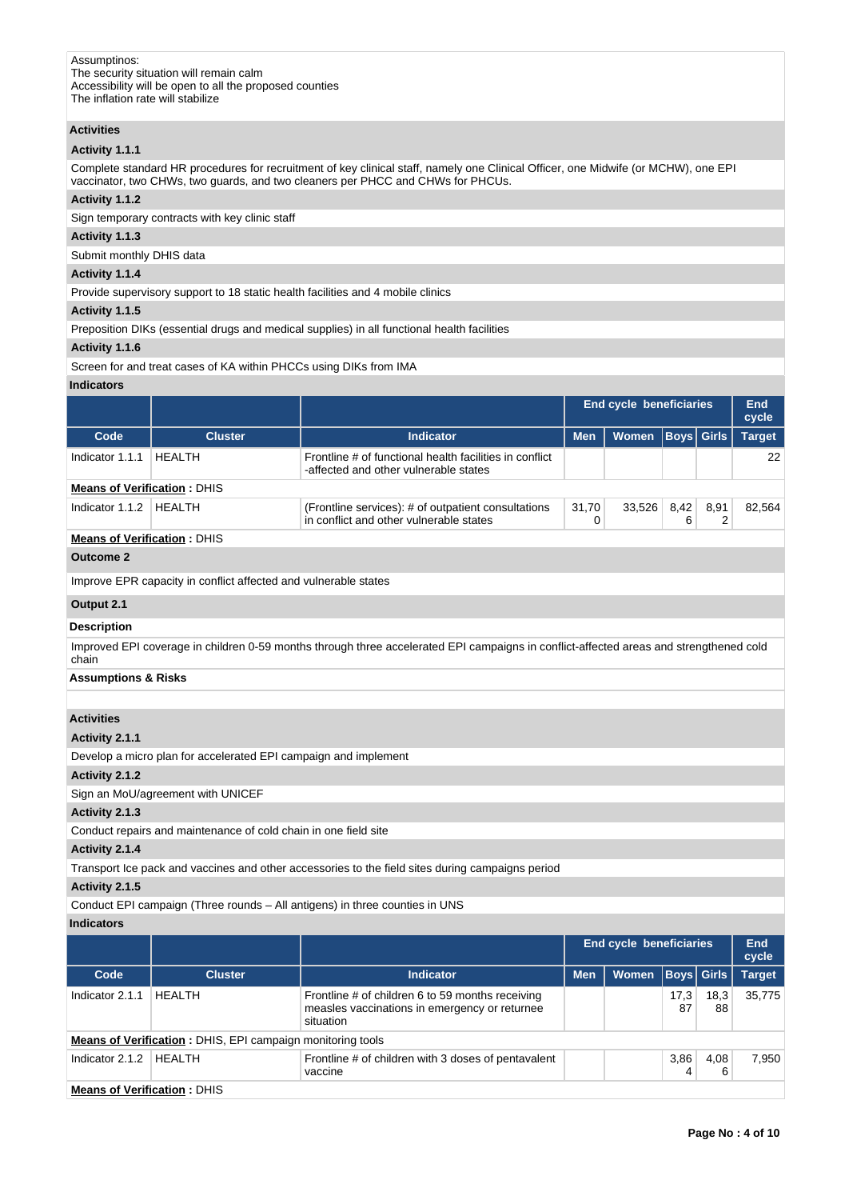# Assumptinos:

The security situation will remain calm Accessibility will be open to all the proposed counties The inflation rate will stabilize

# **Activities**

# **Activity 1.1.1**

Complete standard HR procedures for recruitment of key clinical staff, namely one Clinical Officer, one Midwife (or MCHW), one EPI vaccinator, two CHWs, two guards, and two cleaners per PHCC and CHWs for PHCUs.

# **Activity 1.1.2**

Sign temporary contracts with key clinic staff

# **Activity 1.1.3**

Submit monthly DHIS data

**Means of Verification :** DHIS

# **Activity 1.1.4**

Provide supervisory support to 18 static health facilities and 4 mobile clinics

### **Activity 1.1.5**

Preposition DIKs (essential drugs and medical supplies) in all functional health facilities

#### **Activity 1.1.6**

Screen for and treat cases of KA within PHCCs using DIKs from IMA

### **Indicators**

|                                    |                                                                                                                                 |                                                                                                                                        | <b>End cycle beneficiaries</b> |                                |                   |            | End<br>cycle  |
|------------------------------------|---------------------------------------------------------------------------------------------------------------------------------|----------------------------------------------------------------------------------------------------------------------------------------|--------------------------------|--------------------------------|-------------------|------------|---------------|
| Code                               | <b>Cluster</b>                                                                                                                  | <b>Indicator</b>                                                                                                                       | <b>Men</b>                     | Women                          | <b>Boys</b> Girls |            | <b>Target</b> |
| Indicator 1.1.1                    | <b>HEALTH</b>                                                                                                                   | Frontline # of functional health facilities in conflict<br>-affected and other vulnerable states                                       |                                |                                |                   |            | 22            |
| <b>Means of Verification: DHIS</b> |                                                                                                                                 |                                                                                                                                        |                                |                                |                   |            |               |
| Indicator 1.1.2                    | <b>HEALTH</b>                                                                                                                   | (Frontline services): # of outpatient consultations<br>in conflict and other vulnerable states                                         | 31,70<br>0                     | 33,526                         | 8,42<br>6         | 8,91<br>2  | 82,564        |
| <b>Means of Verification: DHIS</b> |                                                                                                                                 |                                                                                                                                        |                                |                                |                   |            |               |
| <b>Outcome 2</b>                   |                                                                                                                                 |                                                                                                                                        |                                |                                |                   |            |               |
|                                    | Improve EPR capacity in conflict affected and vulnerable states                                                                 |                                                                                                                                        |                                |                                |                   |            |               |
| Output 2.1                         |                                                                                                                                 |                                                                                                                                        |                                |                                |                   |            |               |
| <b>Description</b>                 |                                                                                                                                 |                                                                                                                                        |                                |                                |                   |            |               |
| chain                              |                                                                                                                                 | Improved EPI coverage in children 0-59 months through three accelerated EPI campaigns in conflict-affected areas and strengthened cold |                                |                                |                   |            |               |
| <b>Assumptions &amp; Risks</b>     |                                                                                                                                 |                                                                                                                                        |                                |                                |                   |            |               |
|                                    |                                                                                                                                 |                                                                                                                                        |                                |                                |                   |            |               |
| <b>Activities</b>                  |                                                                                                                                 |                                                                                                                                        |                                |                                |                   |            |               |
| Activity 2.1.1                     |                                                                                                                                 |                                                                                                                                        |                                |                                |                   |            |               |
|                                    | Develop a micro plan for accelerated EPI campaign and implement                                                                 |                                                                                                                                        |                                |                                |                   |            |               |
| Activity 2.1.2                     |                                                                                                                                 |                                                                                                                                        |                                |                                |                   |            |               |
|                                    | Sign an MoU/agreement with UNICEF                                                                                               |                                                                                                                                        |                                |                                |                   |            |               |
| Activity 2.1.3                     |                                                                                                                                 |                                                                                                                                        |                                |                                |                   |            |               |
|                                    | Conduct repairs and maintenance of cold chain in one field site                                                                 |                                                                                                                                        |                                |                                |                   |            |               |
| Activity 2.1.4                     |                                                                                                                                 |                                                                                                                                        |                                |                                |                   |            |               |
|                                    |                                                                                                                                 | Transport Ice pack and vaccines and other accessories to the field sites during campaigns period                                       |                                |                                |                   |            |               |
| Activity 2.1.5                     |                                                                                                                                 |                                                                                                                                        |                                |                                |                   |            |               |
|                                    |                                                                                                                                 | Conduct EPI campaign (Three rounds - All antigens) in three counties in UNS                                                            |                                |                                |                   |            |               |
| <b>Indicators</b>                  |                                                                                                                                 |                                                                                                                                        |                                |                                |                   |            |               |
|                                    |                                                                                                                                 |                                                                                                                                        |                                | <b>End cycle beneficiaries</b> |                   |            | End<br>cycle  |
| Code                               | <b>Cluster</b>                                                                                                                  | <b>Indicator</b>                                                                                                                       | <b>Men</b>                     | Women                          | <b>Boys</b> Girls |            | <b>Target</b> |
| Indicator 2.1.1                    | <b>HEALTH</b><br>Frontline # of children 6 to 59 months receiving<br>measles vaccinations in emergency or returnee<br>situation |                                                                                                                                        |                                |                                | 17,3<br>87        | 18,3<br>88 | 35,775        |
|                                    | <b>Means of Verification</b> : DHIS, EPI campaign monitoring tools                                                              |                                                                                                                                        |                                |                                |                   |            |               |
| Indicator 2.1.2   HEALTH           |                                                                                                                                 | Frontline # of children with 3 doses of pentavalent                                                                                    |                                |                                | 3,86              | 4.08       | 7.950         |

vaccine

6

4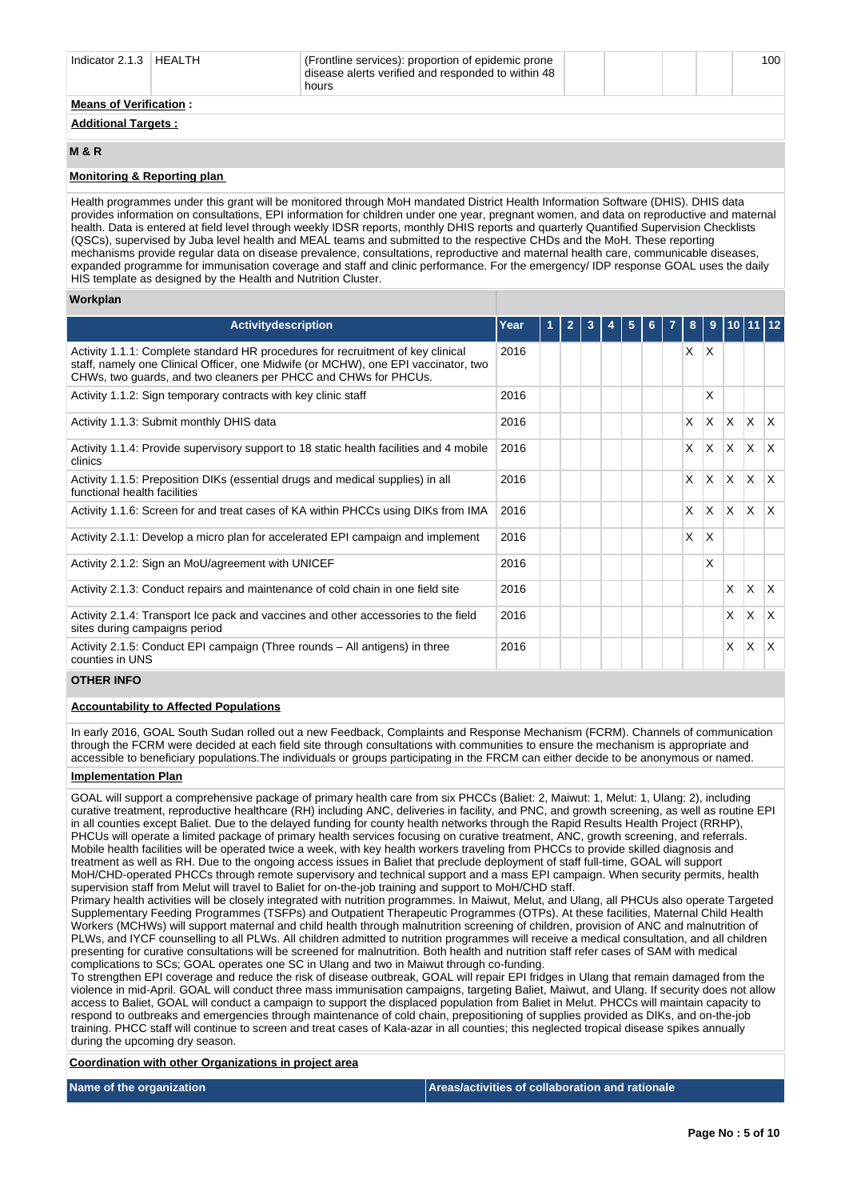| Indicator $2.1.3$   HEALTH    |  | (Frontline services): proportion of epidemic prone<br>disease alerts verified and responded to within 48<br>hours |  |  |  |  | 100 |  |
|-------------------------------|--|-------------------------------------------------------------------------------------------------------------------|--|--|--|--|-----|--|
| <b>Means of Verification:</b> |  |                                                                                                                   |  |  |  |  |     |  |
| <b>Additional Targets:</b>    |  |                                                                                                                   |  |  |  |  |     |  |

# **M & R**

#### **Monitoring & Reporting plan**

Health programmes under this grant will be monitored through MoH mandated District Health Information Software (DHIS). DHIS data provides information on consultations, EPI information for children under one year, pregnant women, and data on reproductive and maternal health. Data is entered at field level through weekly IDSR reports, monthly DHIS reports and quarterly Quantified Supervision Checklists (QSCs), supervised by Juba level health and MEAL teams and submitted to the respective CHDs and the MoH. These reporting mechanisms provide regular data on disease prevalence, consultations, reproductive and maternal health care, communicable diseases, expanded programme for immunisation coverage and staff and clinic performance. For the emergency/ IDP response GOAL uses the daily HIS template as designed by the Health and Nutrition Cluster.

#### **Workplan**

| Activitydescription                                                                                                                                                                                                                      | Year | $\mathbf{2}$ | 3 | 5 | 6 | 8  | 9               |              |              |              |
|------------------------------------------------------------------------------------------------------------------------------------------------------------------------------------------------------------------------------------------|------|--------------|---|---|---|----|-----------------|--------------|--------------|--------------|
| Activity 1.1.1: Complete standard HR procedures for recruitment of key clinical<br>staff, namely one Clinical Officer, one Midwife (or MCHW), one EPI vaccinator, two<br>CHWs, two guards, and two cleaners per PHCC and CHWs for PHCUs. | 2016 |              |   |   |   | X. | ΙX              |              |              |              |
| Activity 1.1.2: Sign temporary contracts with key clinic staff                                                                                                                                                                           | 2016 |              |   |   |   |    | X               |              |              |              |
| Activity 1.1.3: Submit monthly DHIS data                                                                                                                                                                                                 | 2016 |              |   |   |   | X. | IX.             | $\mathsf{X}$ | $\mathsf{X}$ | $\mathsf{X}$ |
| Activity 1.1.4: Provide supervisory support to 18 static health facilities and 4 mobile<br>clinics                                                                                                                                       | 2016 |              |   |   |   | X  | X.              | IX.          | ΙX.          | $\mathsf{X}$ |
| Activity 1.1.5: Preposition DIKs (essential drugs and medical supplies) in all<br>functional health facilities                                                                                                                           | 2016 |              |   |   |   | X  | <b>X</b>        | $\mathsf{X}$ | $\mathsf{X}$ | <sup>X</sup> |
| Activity 1.1.6: Screen for and treat cases of KA within PHCCs using DIKs from IMA                                                                                                                                                        | 2016 |              |   |   |   | X  | X.              | X.           | IX.          | ΙX.          |
| Activity 2.1.1: Develop a micro plan for accelerated EPI campaign and implement                                                                                                                                                          | 2016 |              |   |   |   | X  | $\mathsf{\chi}$ |              |              |              |
| Activity 2.1.2: Sign an MoU/agreement with UNICEF                                                                                                                                                                                        | 2016 |              |   |   |   |    | X               |              |              |              |
| Activity 2.1.3: Conduct repairs and maintenance of cold chain in one field site                                                                                                                                                          | 2016 |              |   |   |   |    |                 | X            | $\times$     | $\times$     |
| Activity 2.1.4: Transport Ice pack and vaccines and other accessories to the field<br>sites during campaigns period                                                                                                                      | 2016 |              |   |   |   |    |                 | X            | $\times$     | ΙX.          |
| Activity 2.1.5: Conduct EPI campaign (Three rounds – All antigens) in three<br>counties in UNS                                                                                                                                           | 2016 |              |   |   |   |    |                 | X            | $\times$     | $\times$     |

# **OTHER INFO**

### **Accountability to Affected Populations**

In early 2016, GOAL South Sudan rolled out a new Feedback, Complaints and Response Mechanism (FCRM). Channels of communication through the FCRM were decided at each field site through consultations with communities to ensure the mechanism is appropriate and accessible to beneficiary populations.The individuals or groups participating in the FRCM can either decide to be anonymous or named.

### **Implementation Plan**

GOAL will support a comprehensive package of primary health care from six PHCCs (Baliet: 2, Maiwut: 1, Melut: 1, Ulang: 2), including curative treatment, reproductive healthcare (RH) including ANC, deliveries in facility, and PNC, and growth screening, as well as routine EPI in all counties except Baliet. Due to the delayed funding for county health networks through the Rapid Results Health Project (RRHP), PHCUs will operate a limited package of primary health services focusing on curative treatment, ANC, growth screening, and referrals. Mobile health facilities will be operated twice a week, with key health workers traveling from PHCCs to provide skilled diagnosis and treatment as well as RH. Due to the ongoing access issues in Baliet that preclude deployment of staff full-time, GOAL will support MoH/CHD-operated PHCCs through remote supervisory and technical support and a mass EPI campaign. When security permits, health supervision staff from Melut will travel to Baliet for on-the-job training and support to MoH/CHD staff.

Primary health activities will be closely integrated with nutrition programmes. In Maiwut, Melut, and Ulang, all PHCUs also operate Targeted Supplementary Feeding Programmes (TSFPs) and Outpatient Therapeutic Programmes (OTPs). At these facilities, Maternal Child Health Workers (MCHWs) will support maternal and child health through malnutrition screening of children, provision of ANC and malnutrition of PLWs, and IYCF counselling to all PLWs. All children admitted to nutrition programmes will receive a medical consultation, and all children presenting for curative consultations will be screened for malnutrition. Both health and nutrition staff refer cases of SAM with medical complications to SCs; GOAL operates one SC in Ulang and two in Maiwut through co-funding.

To strengthen EPI coverage and reduce the risk of disease outbreak, GOAL will repair EPI fridges in Ulang that remain damaged from the violence in mid-April. GOAL will conduct three mass immunisation campaigns, targeting Baliet, Maiwut, and Ulang. If security does not allow access to Baliet, GOAL will conduct a campaign to support the displaced population from Baliet in Melut. PHCCs will maintain capacity to respond to outbreaks and emergencies through maintenance of cold chain, prepositioning of supplies provided as DIKs, and on-the-job training. PHCC staff will continue to screen and treat cases of Kala-azar in all counties; this neglected tropical disease spikes annually during the upcoming dry season.

**Coordination with other Organizations in project area**

# **Name of the organization Areas/activities of collaboration and rationale**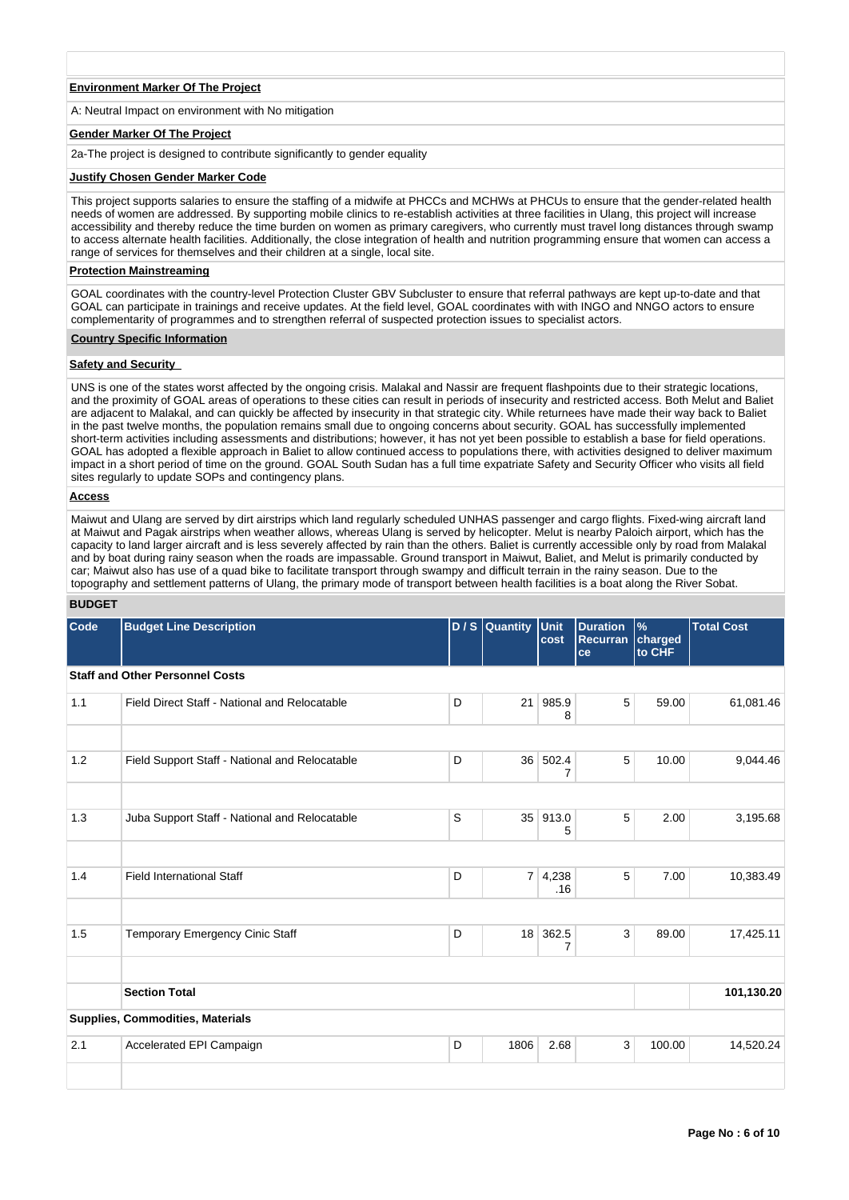#### **Environment Marker Of The Project**

A: Neutral Impact on environment with No mitigation

#### **Gender Marker Of The Project**

2a-The project is designed to contribute significantly to gender equality

#### **Justify Chosen Gender Marker Code**

This project supports salaries to ensure the staffing of a midwife at PHCCs and MCHWs at PHCUs to ensure that the gender-related health needs of women are addressed. By supporting mobile clinics to re-establish activities at three facilities in Ulang, this project will increase accessibility and thereby reduce the time burden on women as primary caregivers, who currently must travel long distances through swamp to access alternate health facilities. Additionally, the close integration of health and nutrition programming ensure that women can access a range of services for themselves and their children at a single, local site.

#### **Protection Mainstreaming**

GOAL coordinates with the country-level Protection Cluster GBV Subcluster to ensure that referral pathways are kept up-to-date and that GOAL can participate in trainings and receive updates. At the field level, GOAL coordinates with with INGO and NNGO actors to ensure complementarity of programmes and to strengthen referral of suspected protection issues to specialist actors.

### **Country Specific Information**

#### **Safety and Security**

UNS is one of the states worst affected by the ongoing crisis. Malakal and Nassir are frequent flashpoints due to their strategic locations, and the proximity of GOAL areas of operations to these cities can result in periods of insecurity and restricted access. Both Melut and Baliet are adjacent to Malakal, and can quickly be affected by insecurity in that strategic city. While returnees have made their way back to Baliet in the past twelve months, the population remains small due to ongoing concerns about security. GOAL has successfully implemented short-term activities including assessments and distributions; however, it has not yet been possible to establish a base for field operations. GOAL has adopted a flexible approach in Baliet to allow continued access to populations there, with activities designed to deliver maximum impact in a short period of time on the ground. GOAL South Sudan has a full time expatriate Safety and Security Officer who visits all field sites regularly to update SOPs and contingency plans.

#### **Access**

Maiwut and Ulang are served by dirt airstrips which land regularly scheduled UNHAS passenger and cargo flights. Fixed-wing aircraft land at Maiwut and Pagak airstrips when weather allows, whereas Ulang is served by helicopter. Melut is nearby Paloich airport, which has the capacity to land larger aircraft and is less severely affected by rain than the others. Baliet is currently accessible only by road from Malakal and by boat during rainy season when the roads are impassable. Ground transport in Maiwut, Baliet, and Melut is primarily conducted by car; Maiwut also has use of a quad bike to facilitate transport through swampy and difficult terrain in the rainy season. Due to the topography and settlement patterns of Ulang, the primary mode of transport between health facilities is a boat along the River Sobat.

| Code | <b>Budget Line Description</b>                 |   | $D/S$ Quantity | Unit<br>cost | <b>Duration</b><br>Recurran<br>ce | $\frac{9}{6}$<br>charged<br>to CHF | <b>Total Cost</b> |
|------|------------------------------------------------|---|----------------|--------------|-----------------------------------|------------------------------------|-------------------|
|      | <b>Staff and Other Personnel Costs</b>         |   |                |              |                                   |                                    |                   |
| 1.1  | Field Direct Staff - National and Relocatable  | D | 21             | 985.9<br>8   | 5                                 | 59.00                              | 61,081.46         |
|      |                                                |   |                |              |                                   |                                    |                   |
| 1.2  | Field Support Staff - National and Relocatable | D | 36             | 502.4<br>7   | 5                                 | 10.00                              | 9,044.46          |
|      |                                                |   |                |              |                                   |                                    |                   |
| 1.3  | Juba Support Staff - National and Relocatable  | S | 35             | 913.0<br>5   | 5                                 | 2.00                               | 3,195.68          |
|      |                                                |   |                |              |                                   |                                    |                   |
| 1.4  | <b>Field International Staff</b>               | D | 7 <sup>1</sup> | 4,238<br>.16 | 5                                 | 7.00                               | 10,383.49         |
|      |                                                |   |                |              |                                   |                                    |                   |
| 1.5  | Temporary Emergency Cinic Staff                | D | 18             | 362.5<br>7   | 3                                 | 89.00                              | 17,425.11         |
|      |                                                |   |                |              |                                   |                                    |                   |
|      | <b>Section Total</b>                           |   |                |              |                                   |                                    | 101,130.20        |
|      | <b>Supplies, Commodities, Materials</b>        |   |                |              |                                   |                                    |                   |
| 2.1  | Accelerated EPI Campaign                       | D | 1806           | 2.68         | 3                                 | 100.00                             | 14,520.24         |
|      |                                                |   |                |              |                                   |                                    |                   |

# **BUDGET**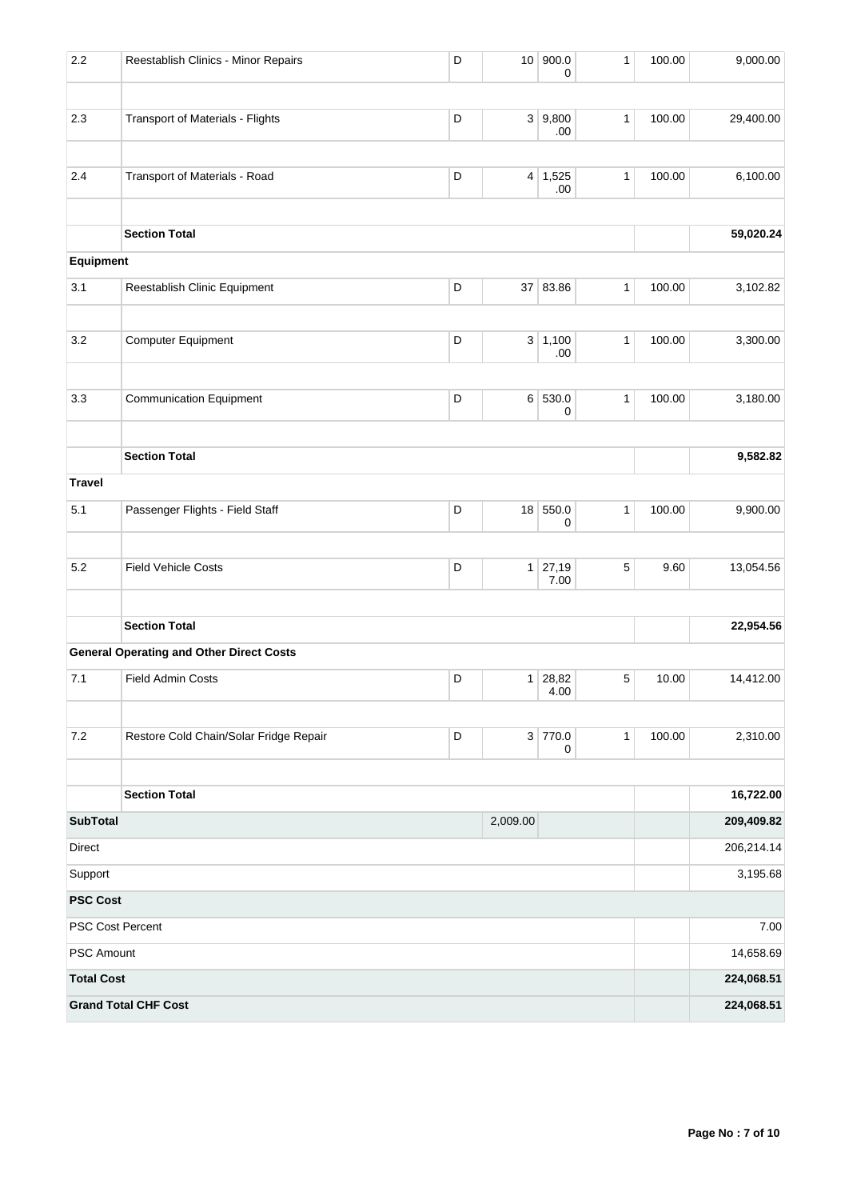| 2.2               | Reestablish Clinics - Minor Repairs             | D | 10 <sup>1</sup> | 900.0<br>0                   | $\mathbf{1}$ | 100.00 | 9,000.00   |
|-------------------|-------------------------------------------------|---|-----------------|------------------------------|--------------|--------|------------|
| 2.3               | Transport of Materials - Flights                | D |                 | 3   9,800<br>.00             | $\mathbf{1}$ | 100.00 | 29,400.00  |
| 2.4               | Transport of Materials - Road                   | D |                 | $4 \mid 1,525$<br>.00        | $\mathbf{1}$ | 100.00 | 6,100.00   |
|                   | <b>Section Total</b>                            |   |                 |                              |              |        | 59,020.24  |
| Equipment         |                                                 |   |                 |                              |              |        |            |
| 3.1               | Reestablish Clinic Equipment                    | D |                 | 37 83.86                     | $\mathbf{1}$ | 100.00 | 3,102.82   |
| 3.2               | Computer Equipment                              | D |                 | 3   1,100<br>.00             | $\mathbf{1}$ | 100.00 | 3,300.00   |
| 3.3               | <b>Communication Equipment</b>                  | D |                 | 6 530.0<br>0                 | $\mathbf{1}$ | 100.00 | 3,180.00   |
|                   | <b>Section Total</b>                            |   |                 |                              |              |        | 9,582.82   |
| <b>Travel</b>     |                                                 |   |                 |                              |              |        |            |
| 5.1               | Passenger Flights - Field Staff                 | D |                 | 18 550.0<br>0                | $\mathbf{1}$ | 100.00 | 9,900.00   |
| 5.2               | <b>Field Vehicle Costs</b>                      | D | 1               | 27,19<br>7.00                | 5            | 9.60   | 13,054.56  |
|                   | <b>Section Total</b>                            |   |                 |                              |              |        | 22,954.56  |
|                   | <b>General Operating and Other Direct Costs</b> |   |                 |                              |              |        |            |
| 7.1               | <b>Field Admin Costs</b>                        | D |                 | $1 \overline{28,82}$<br>4.00 | 5            | 10.00  | 14,412.00  |
| $7.2\,$           | Restore Cold Chain/Solar Fridge Repair          | D |                 | 3 770.0<br>0                 | $\mathbf{1}$ | 100.00 | 2,310.00   |
|                   | <b>Section Total</b>                            |   |                 |                              |              |        | 16,722.00  |
| <b>SubTotal</b>   |                                                 |   | 2,009.00        |                              |              |        | 209,409.82 |
| Direct            |                                                 |   |                 |                              |              |        | 206,214.14 |
| Support           |                                                 |   |                 |                              |              |        | 3,195.68   |
| <b>PSC Cost</b>   |                                                 |   |                 |                              |              |        |            |
|                   | PSC Cost Percent                                |   |                 |                              |              |        | 7.00       |
| <b>PSC Amount</b> |                                                 |   |                 |                              |              |        | 14,658.69  |
| <b>Total Cost</b> |                                                 |   |                 |                              |              |        | 224,068.51 |
|                   | <b>Grand Total CHF Cost</b>                     |   |                 |                              |              |        | 224,068.51 |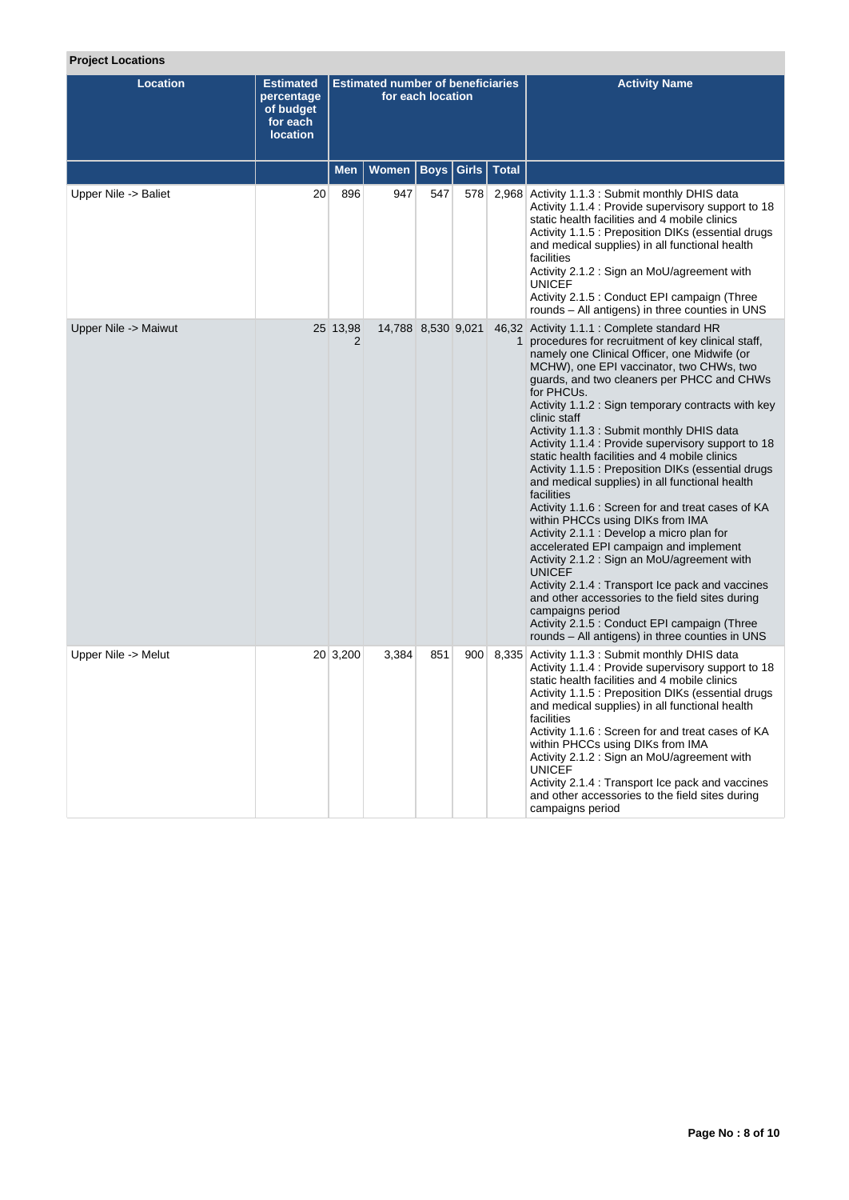# **Project Locations**

| <b>Location</b>      | <b>Estimated</b><br>percentage<br>of budget<br>for each<br><b>location</b> |               | <b>Estimated number of beneficiaries</b><br>for each location |             |              |              | <b>Activity Name</b>                                                                                                                                                                                                                                                                                                                                                                                                                                                                                                                                                                                                                                                                                                                                                                                                                                                                                                                                                                                                                                                                   |
|----------------------|----------------------------------------------------------------------------|---------------|---------------------------------------------------------------|-------------|--------------|--------------|----------------------------------------------------------------------------------------------------------------------------------------------------------------------------------------------------------------------------------------------------------------------------------------------------------------------------------------------------------------------------------------------------------------------------------------------------------------------------------------------------------------------------------------------------------------------------------------------------------------------------------------------------------------------------------------------------------------------------------------------------------------------------------------------------------------------------------------------------------------------------------------------------------------------------------------------------------------------------------------------------------------------------------------------------------------------------------------|
|                      |                                                                            | Men           | Women                                                         | <b>Boys</b> | <b>Girls</b> | <b>Total</b> |                                                                                                                                                                                                                                                                                                                                                                                                                                                                                                                                                                                                                                                                                                                                                                                                                                                                                                                                                                                                                                                                                        |
| Upper Nile -> Baliet | 20                                                                         | 896           | 947                                                           | 547         | 578          |              | 2,968 Activity 1.1.3 : Submit monthly DHIS data<br>Activity 1.1.4 : Provide supervisory support to 18<br>static health facilities and 4 mobile clinics<br>Activity 1.1.5 : Preposition DIKs (essential drugs<br>and medical supplies) in all functional health<br>facilities<br>Activity 2.1.2 : Sign an MoU/agreement with<br><b>UNICEF</b><br>Activity 2.1.5 : Conduct EPI campaign (Three<br>rounds – All antigens) in three counties in UNS                                                                                                                                                                                                                                                                                                                                                                                                                                                                                                                                                                                                                                        |
| Upper Nile -> Maiwut |                                                                            | 25 13,98<br>2 | 14,788 8,530 9,021                                            |             |              |              | 46,32 Activity 1.1.1 : Complete standard HR<br>procedures for recruitment of key clinical staff,<br>namely one Clinical Officer, one Midwife (or<br>MCHW), one EPI vaccinator, two CHWs, two<br>guards, and two cleaners per PHCC and CHWs<br>for PHCUs.<br>Activity 1.1.2 : Sign temporary contracts with key<br>clinic staff<br>Activity 1.1.3 : Submit monthly DHIS data<br>Activity 1.1.4 : Provide supervisory support to 18<br>static health facilities and 4 mobile clinics<br>Activity 1.1.5 : Preposition DIKs (essential drugs<br>and medical supplies) in all functional health<br>facilities<br>Activity 1.1.6 : Screen for and treat cases of KA<br>within PHCCs using DIKs from IMA<br>Activity 2.1.1 : Develop a micro plan for<br>accelerated EPI campaign and implement<br>Activity 2.1.2 : Sign an MoU/agreement with<br><b>UNICEF</b><br>Activity 2.1.4 : Transport Ice pack and vaccines<br>and other accessories to the field sites during<br>campaigns period<br>Activity 2.1.5 : Conduct EPI campaign (Three<br>rounds - All antigens) in three counties in UNS |
| Upper Nile -> Melut  |                                                                            | 20 3,200      | 3,384                                                         | 851         | 900          | 8,335        | Activity 1.1.3 : Submit monthly DHIS data<br>Activity 1.1.4 : Provide supervisory support to 18<br>static health facilities and 4 mobile clinics<br>Activity 1.1.5 : Preposition DIKs (essential drugs<br>and medical supplies) in all functional health<br>facilities<br>Activity 1.1.6 : Screen for and treat cases of KA<br>within PHCCs using DIKs from IMA<br>Activity 2.1.2 : Sign an MoU/agreement with<br><b>UNICEF</b><br>Activity 2.1.4 : Transport Ice pack and vaccines<br>and other accessories to the field sites during<br>campaigns period                                                                                                                                                                                                                                                                                                                                                                                                                                                                                                                             |